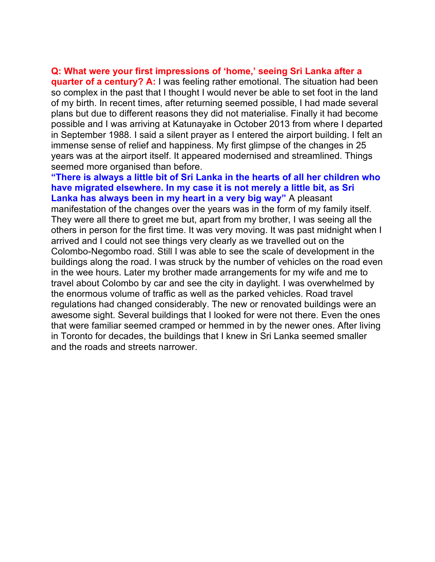**Q: What were your first impressions of 'home,' seeing Sri Lanka after a quarter of a century? A:** I was feeling rather emotional. The situation had been so complex in the past that I thought I would never be able to set foot in the land of my birth. In recent times, after returning seemed possible, I had made several plans but due to different reasons they did not materialise. Finally it had become possible and I was arriving at Katunayake in October 2013 from where I departed in September 1988. I said a silent prayer as I entered the airport building. I felt an immense sense of relief and happiness. My first glimpse of the changes in 25 years was at the airport itself. It appeared modernised and streamlined. Things seemed more organised than before.

**"There is always a little bit of Sri Lanka in the hearts of all her children who have migrated elsewhere. In my case it is not merely a little bit, as Sri Lanka has always been in my heart in a very big way"** A pleasant manifestation of the changes over the years was in the form of my family itself. They were all there to greet me but, apart from my brother, I was seeing all the others in person for the first time. It was very moving. It was past midnight when I arrived and I could not see things very clearly as we travelled out on the Colombo-Negombo road. Still I was able to see the scale of development in the buildings along the road. I was struck by the number of vehicles on the road even in the wee hours. Later my brother made arrangements for my wife and me to travel about Colombo by car and see the city in daylight. I was overwhelmed by the enormous volume of traffic as well as the parked vehicles. Road travel regulations had changed considerably. The new or renovated buildings were an awesome sight. Several buildings that I looked for were not there. Even the ones that were familiar seemed cramped or hemmed in by the newer ones. After living in Toronto for decades, the buildings that I knew in Sri Lanka seemed smaller and the roads and streets narrower.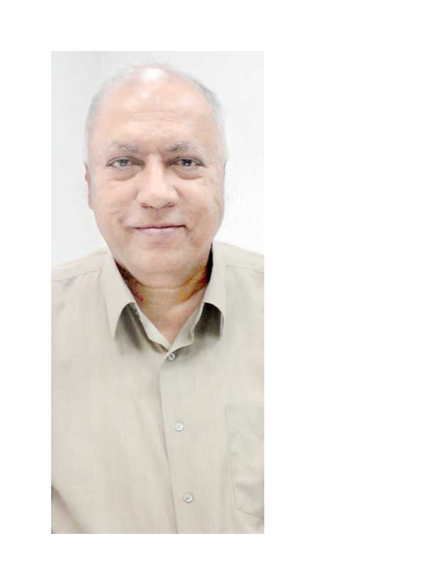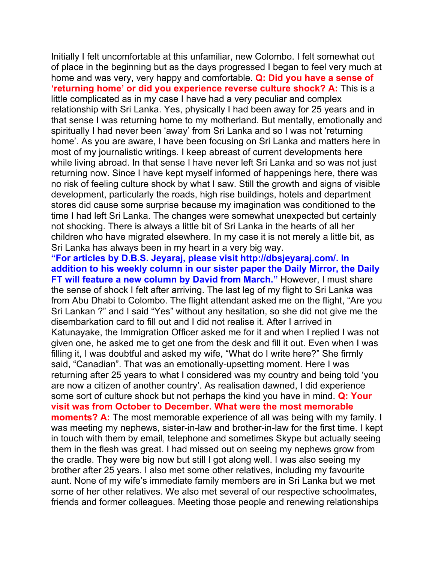Initially I felt uncomfortable at this unfamiliar, new Colombo. I felt somewhat out of place in the beginning but as the days progressed I began to feel very much at home and was very, very happy and comfortable. **Q: Did you have a sense of 'returning home' or did you experience reverse culture shock? A:** This is a little complicated as in my case I have had a very peculiar and complex relationship with Sri Lanka. Yes, physically I had been away for 25 years and in that sense I was returning home to my motherland. But mentally, emotionally and spiritually I had never been 'away' from Sri Lanka and so I was not 'returning home'. As you are aware, I have been focusing on Sri Lanka and matters here in most of my journalistic writings. I keep abreast of current developments here while living abroad. In that sense I have never left Sri Lanka and so was not just returning now. Since I have kept myself informed of happenings here, there was no risk of feeling culture shock by what I saw. Still the growth and signs of visible development, particularly the roads, high rise buildings, hotels and department stores did cause some surprise because my imagination was conditioned to the time I had left Sri Lanka. The changes were somewhat unexpected but certainly not shocking. There is always a little bit of Sri Lanka in the hearts of all her children who have migrated elsewhere. In my case it is not merely a little bit, as Sri Lanka has always been in my heart in a very big way.

**"For articles by D.B.S. Jeyaraj, please visit http://dbsjeyaraj.com/. In addition to his weekly column in our sister paper the Daily Mirror, the Daily FT will feature a new column by David from March."** However, I must share the sense of shock I felt after arriving. The last leg of my flight to Sri Lanka was from Abu Dhabi to Colombo. The flight attendant asked me on the flight, "Are you Sri Lankan ?" and I said "Yes" without any hesitation, so she did not give me the disembarkation card to fill out and I did not realise it. After I arrived in Katunayake, the Immigration Officer asked me for it and when I replied I was not given one, he asked me to get one from the desk and fill it out. Even when I was filling it, I was doubtful and asked my wife, "What do I write here?" She firmly said, "Canadian". That was an emotionally-upsetting moment. Here I was returning after 25 years to what I considered was my country and being told 'you are now a citizen of another country'. As realisation dawned, I did experience some sort of culture shock but not perhaps the kind you have in mind. **Q: Your visit was from October to December. What were the most memorable moments? A:** The most memorable experience of all was being with my family. I was meeting my nephews, sister-in-law and brother-in-law for the first time. I kept in touch with them by email, telephone and sometimes Skype but actually seeing them in the flesh was great. I had missed out on seeing my nephews grow from the cradle. They were big now but still I got along well. I was also seeing my brother after 25 years. I also met some other relatives, including my favourite aunt. None of my wife's immediate family members are in Sri Lanka but we met some of her other relatives. We also met several of our respective schoolmates, friends and former colleagues. Meeting those people and renewing relationships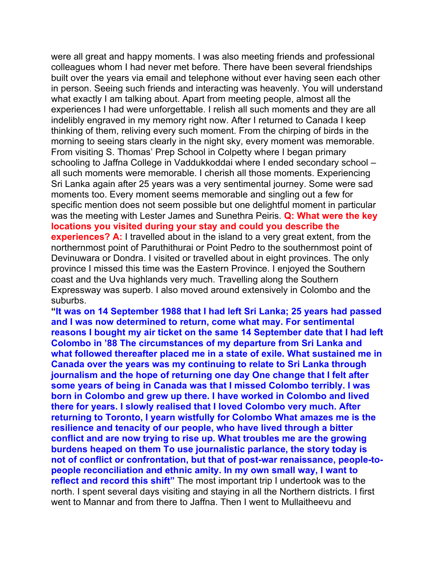were all great and happy moments. I was also meeting friends and professional colleagues whom I had never met before. There have been several friendships built over the years via email and telephone without ever having seen each other in person. Seeing such friends and interacting was heavenly. You will understand what exactly I am talking about. Apart from meeting people, almost all the experiences I had were unforgettable. I relish all such moments and they are all indelibly engraved in my memory right now. After I returned to Canada I keep thinking of them, reliving every such moment. From the chirping of birds in the morning to seeing stars clearly in the night sky, every moment was memorable. From visiting S. Thomas' Prep School in Colpetty where I began primary schooling to Jaffna College in Vaddukkoddai where I ended secondary school – all such moments were memorable. I cherish all those moments. Experiencing Sri Lanka again after 25 years was a very sentimental journey. Some were sad moments too. Every moment seems memorable and singling out a few for specific mention does not seem possible but one delightful moment in particular was the meeting with Lester James and Sunethra Peiris. **Q: What were the key locations you visited during your stay and could you describe the experiences? A:** I travelled about in the island to a very great extent, from the northernmost point of Paruthithurai or Point Pedro to the southernmost point of Devinuwara or Dondra. I visited or travelled about in eight provinces. The only province I missed this time was the Eastern Province. I enjoyed the Southern coast and the Uva highlands very much. Travelling along the Southern Expressway was superb. I also moved around extensively in Colombo and the suburbs.

**"It was on 14 September 1988 that I had left Sri Lanka; 25 years had passed and I was now determined to return, come what may. For sentimental reasons I bought my air ticket on the same 14 September date that I had left Colombo in '88 The circumstances of my departure from Sri Lanka and what followed thereafter placed me in a state of exile. What sustained me in Canada over the years was my continuing to relate to Sri Lanka through journalism and the hope of returning one day One change that I felt after some years of being in Canada was that I missed Colombo terribly. I was born in Colombo and grew up there. I have worked in Colombo and lived there for years. I slowly realised that I loved Colombo very much. After returning to Toronto, I yearn wistfully for Colombo What amazes me is the resilience and tenacity of our people, who have lived through a bitter conflict and are now trying to rise up. What troubles me are the growing burdens heaped on them To use journalistic parlance, the story today is not of conflict or confrontation, but that of post-war renaissance, people-topeople reconciliation and ethnic amity. In my own small way, I want to reflect and record this shift"** The most important trip I undertook was to the north. I spent several days visiting and staying in all the Northern districts. I first went to Mannar and from there to Jaffna. Then I went to Mullaitheevu and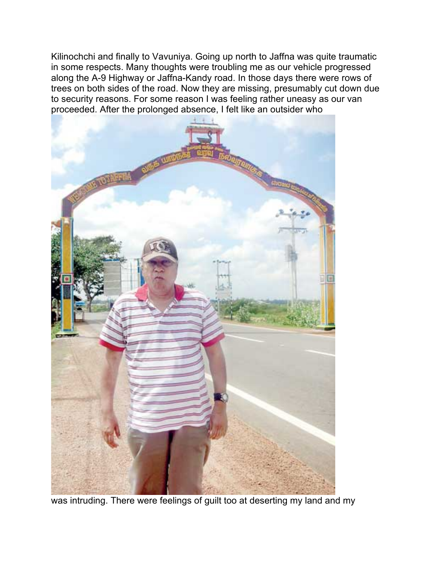Kilinochchi and finally to Vavuniya. Going up north to Jaffna was quite traumatic in some respects. Many thoughts were troubling me as our vehicle progressed along the A-9 Highway or Jaffna-Kandy road. In those days there were rows of trees on both sides of the road. Now they are missing, presumably cut down due to security reasons. For some reason I was feeling rather uneasy as our van proceeded. After the prolonged absence, I felt like an outsider who



was intruding. There were feelings of guilt too at deserting my land and my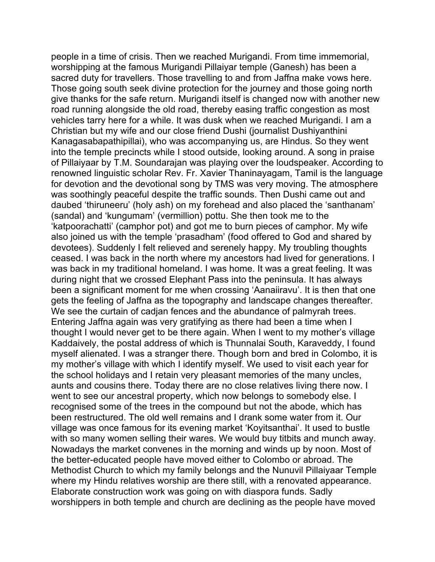people in a time of crisis. Then we reached Murigandi. From time immemorial, worshipping at the famous Murigandi Pillaiyar temple (Ganesh) has been a sacred duty for travellers. Those travelling to and from Jaffna make vows here. Those going south seek divine protection for the journey and those going north give thanks for the safe return. Murigandi itself is changed now with another new road running alongside the old road, thereby easing traffic congestion as most vehicles tarry here for a while. It was dusk when we reached Murigandi. I am a Christian but my wife and our close friend Dushi (journalist Dushiyanthini Kanagasabapathipillai), who was accompanying us, are Hindus. So they went into the temple precincts while I stood outside, looking around. A song in praise of Pillaiyaar by T.M. Soundarajan was playing over the loudspeaker. According to renowned linguistic scholar Rev. Fr. Xavier Thaninayagam, Tamil is the language for devotion and the devotional song by TMS was very moving. The atmosphere was soothingly peaceful despite the traffic sounds. Then Dushi came out and daubed 'thiruneeru' (holy ash) on my forehead and also placed the 'santhanam' (sandal) and 'kungumam' (vermillion) pottu. She then took me to the 'katpoorachatti' (camphor pot) and got me to burn pieces of camphor. My wife also joined us with the temple 'prasadham' (food offered to God and shared by devotees). Suddenly I felt relieved and serenely happy. My troubling thoughts ceased. I was back in the north where my ancestors had lived for generations. I was back in my traditional homeland. I was home. It was a great feeling. It was during night that we crossed Elephant Pass into the peninsula. It has always been a significant moment for me when crossing 'Aanaiiravu'. It is then that one gets the feeling of Jaffna as the topography and landscape changes thereafter. We see the curtain of cadjan fences and the abundance of palmyrah trees. Entering Jaffna again was very gratifying as there had been a time when I thought I would never get to be there again. When I went to my mother's village Kaddaively, the postal address of which is Thunnalai South, Karaveddy, I found myself alienated. I was a stranger there. Though born and bred in Colombo, it is my mother's village with which I identify myself. We used to visit each year for the school holidays and I retain very pleasant memories of the many uncles, aunts and cousins there. Today there are no close relatives living there now. I went to see our ancestral property, which now belongs to somebody else. I recognised some of the trees in the compound but not the abode, which has been restructured. The old well remains and I drank some water from it. Our village was once famous for its evening market 'Koyitsanthai'. It used to bustle with so many women selling their wares. We would buy titbits and munch away. Nowadays the market convenes in the morning and winds up by noon. Most of the better-educated people have moved either to Colombo or abroad. The Methodist Church to which my family belongs and the Nunuvil Pillaiyaar Temple where my Hindu relatives worship are there still, with a renovated appearance. Elaborate construction work was going on with diaspora funds. Sadly worshippers in both temple and church are declining as the people have moved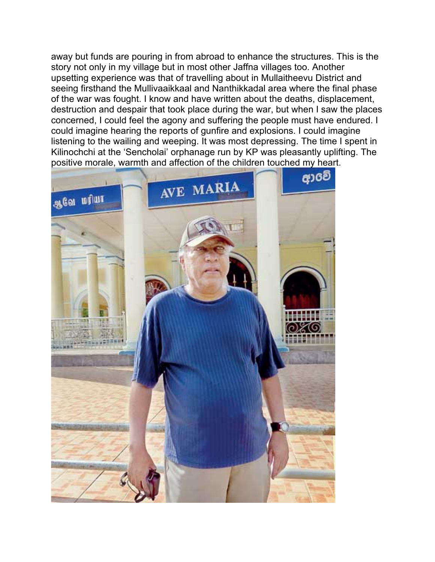away but funds are pouring in from abroad to enhance the structures. This is the story not only in my village but in most other Jaffna villages too. Another upsetting experience was that of travelling about in Mullaitheevu District and seeing firsthand the Mullivaaikkaal and Nanthikkadal area where the final phase of the war was fought. I know and have written about the deaths, displacement, destruction and despair that took place during the war, but when I saw the places concerned, I could feel the agony and suffering the people must have endured. I could imagine hearing the reports of gunfire and explosions. I could imagine listening to the wailing and weeping. It was most depressing. The time I spent in Kilinochchi at the 'Sencholai' orphanage run by KP was pleasantly uplifting. The positive morale, warmth and affection of the children touched my heart.

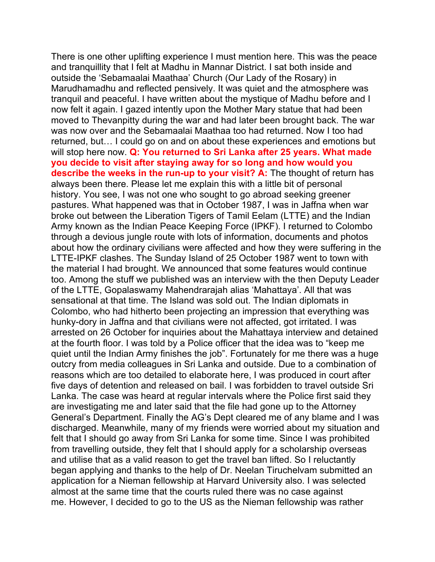There is one other uplifting experience I must mention here. This was the peace and tranquillity that I felt at Madhu in Mannar District. I sat both inside and outside the 'Sebamaalai Maathaa' Church (Our Lady of the Rosary) in Marudhamadhu and reflected pensively. It was quiet and the atmosphere was tranquil and peaceful. I have written about the mystique of Madhu before and I now felt it again. I gazed intently upon the Mother Mary statue that had been moved to Thevanpitty during the war and had later been brought back. The war was now over and the Sebamaalai Maathaa too had returned. Now I too had returned, but… I could go on and on about these experiences and emotions but will stop here now. **Q: You returned to Sri Lanka after 25 years. What made you decide to visit after staying away for so long and how would you describe the weeks in the run-up to your visit? A:** The thought of return has always been there. Please let me explain this with a little bit of personal history. You see, I was not one who sought to go abroad seeking greener pastures. What happened was that in October 1987, I was in Jaffna when war broke out between the Liberation Tigers of Tamil Eelam (LTTE) and the Indian Army known as the Indian Peace Keeping Force (IPKF). I returned to Colombo through a devious jungle route with lots of information, documents and photos about how the ordinary civilians were affected and how they were suffering in the LTTE-IPKF clashes. The Sunday Island of 25 October 1987 went to town with the material I had brought. We announced that some features would continue too. Among the stuff we published was an interview with the then Deputy Leader of the LTTE, Gopalaswamy Mahendrarajah alias 'Mahattaya'. All that was sensational at that time. The Island was sold out. The Indian diplomats in Colombo, who had hitherto been projecting an impression that everything was hunky-dory in Jaffna and that civilians were not affected, got irritated. I was arrested on 26 October for inquiries about the Mahattaya interview and detained at the fourth floor. I was told by a Police officer that the idea was to "keep me quiet until the Indian Army finishes the job". Fortunately for me there was a huge outcry from media colleagues in Sri Lanka and outside. Due to a combination of reasons which are too detailed to elaborate here, I was produced in court after five days of detention and released on bail. I was forbidden to travel outside Sri Lanka. The case was heard at regular intervals where the Police first said they are investigating me and later said that the file had gone up to the Attorney General's Department. Finally the AG's Dept cleared me of any blame and I was discharged. Meanwhile, many of my friends were worried about my situation and felt that I should go away from Sri Lanka for some time. Since I was prohibited from travelling outside, they felt that I should apply for a scholarship overseas and utilise that as a valid reason to get the travel ban lifted. So I reluctantly began applying and thanks to the help of Dr. Neelan Tiruchelvam submitted an application for a Nieman fellowship at Harvard University also. I was selected almost at the same time that the courts ruled there was no case against me. However, I decided to go to the US as the Nieman fellowship was rather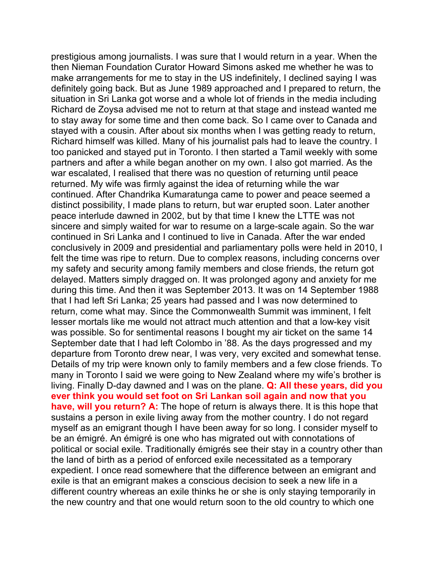prestigious among journalists. I was sure that I would return in a year. When the then Nieman Foundation Curator Howard Simons asked me whether he was to make arrangements for me to stay in the US indefinitely, I declined saying I was definitely going back. But as June 1989 approached and I prepared to return, the situation in Sri Lanka got worse and a whole lot of friends in the media including Richard de Zoysa advised me not to return at that stage and instead wanted me to stay away for some time and then come back. So I came over to Canada and stayed with a cousin. After about six months when I was getting ready to return, Richard himself was killed. Many of his journalist pals had to leave the country. I too panicked and stayed put in Toronto. I then started a Tamil weekly with some partners and after a while began another on my own. I also got married. As the war escalated, I realised that there was no question of returning until peace returned. My wife was firmly against the idea of returning while the war continued. After Chandrika Kumaratunga came to power and peace seemed a distinct possibility, I made plans to return, but war erupted soon. Later another peace interlude dawned in 2002, but by that time I knew the LTTE was not sincere and simply waited for war to resume on a large-scale again. So the war continued in Sri Lanka and I continued to live in Canada. After the war ended conclusively in 2009 and presidential and parliamentary polls were held in 2010, I felt the time was ripe to return. Due to complex reasons, including concerns over my safety and security among family members and close friends, the return got delayed. Matters simply dragged on. It was prolonged agony and anxiety for me during this time. And then it was September 2013. It was on 14 September 1988 that I had left Sri Lanka; 25 years had passed and I was now determined to return, come what may. Since the Commonwealth Summit was imminent, I felt lesser mortals like me would not attract much attention and that a low-key visit was possible. So for sentimental reasons I bought my air ticket on the same 14 September date that I had left Colombo in '88. As the days progressed and my departure from Toronto drew near, I was very, very excited and somewhat tense. Details of my trip were known only to family members and a few close friends. To many in Toronto I said we were going to New Zealand where my wife's brother is living. Finally D-day dawned and I was on the plane. **Q: All these years, did you ever think you would set foot on Sri Lankan soil again and now that you have, will you return? A:** The hope of return is always there. It is this hope that sustains a person in exile living away from the mother country. I do not regard myself as an emigrant though I have been away for so long. I consider myself to be an émigré. An émigré is one who has migrated out with connotations of political or social exile. Traditionally émigrés see their stay in a country other than the land of birth as a period of enforced exile necessitated as a temporary expedient. I once read somewhere that the difference between an emigrant and exile is that an emigrant makes a conscious decision to seek a new life in a different country whereas an exile thinks he or she is only staying temporarily in the new country and that one would return soon to the old country to which one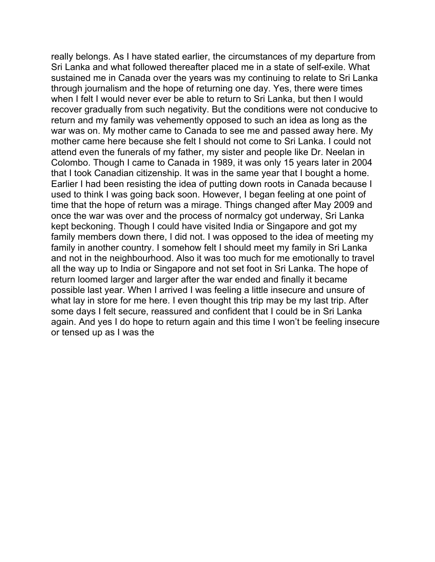really belongs. As I have stated earlier, the circumstances of my departure from Sri Lanka and what followed thereafter placed me in a state of self-exile. What sustained me in Canada over the years was my continuing to relate to Sri Lanka through journalism and the hope of returning one day. Yes, there were times when I felt I would never ever be able to return to Sri Lanka, but then I would recover gradually from such negativity. But the conditions were not conducive to return and my family was vehemently opposed to such an idea as long as the war was on. My mother came to Canada to see me and passed away here. My mother came here because she felt I should not come to Sri Lanka. I could not attend even the funerals of my father, my sister and people like Dr. Neelan in Colombo. Though I came to Canada in 1989, it was only 15 years later in 2004 that I took Canadian citizenship. It was in the same year that I bought a home. Earlier I had been resisting the idea of putting down roots in Canada because I used to think I was going back soon. However, I began feeling at one point of time that the hope of return was a mirage. Things changed after May 2009 and once the war was over and the process of normalcy got underway, Sri Lanka kept beckoning. Though I could have visited India or Singapore and got my family members down there, I did not. I was opposed to the idea of meeting my family in another country. I somehow felt I should meet my family in Sri Lanka and not in the neighbourhood. Also it was too much for me emotionally to travel all the way up to India or Singapore and not set foot in Sri Lanka. The hope of return loomed larger and larger after the war ended and finally it became possible last year. When I arrived I was feeling a little insecure and unsure of what lay in store for me here. I even thought this trip may be my last trip. After some days I felt secure, reassured and confident that I could be in Sri Lanka again. And yes I do hope to return again and this time I won't be feeling insecure or tensed up as I was the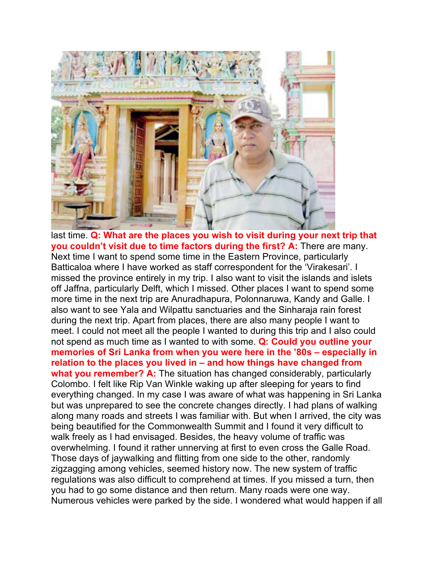

last time. **Q: What are the places you wish to visit during your next trip that you couldn't visit due to time factors during the first? A:** There are many. Next time I want to spend some time in the Eastern Province, particularly Batticaloa where I have worked as staff correspondent for the 'Virakesari'. I missed the province entirely in my trip. I also want to visit the islands and islets off Jaffna, particularly Delft, which I missed. Other places I want to spend some more time in the next trip are Anuradhapura, Polonnaruwa, Kandy and Galle. I also want to see Yala and Wilpattu sanctuaries and the Sinharaja rain forest during the next trip. Apart from places, there are also many people I want to meet. I could not meet all the people I wanted to during this trip and I also could not spend as much time as I wanted to with some. **Q: Could you outline your memories of Sri Lanka from when you were here in the '80s – especially in relation to the places you lived in – and how things have changed from what you remember? A:** The situation has changed considerably, particularly Colombo. I felt like Rip Van Winkle waking up after sleeping for years to find everything changed. In my case I was aware of what was happening in Sri Lanka but was unprepared to see the concrete changes directly. I had plans of walking along many roads and streets I was familiar with. But when I arrived, the city was being beautified for the Commonwealth Summit and I found it very difficult to walk freely as I had envisaged. Besides, the heavy volume of traffic was overwhelming. I found it rather unnerving at first to even cross the Galle Road. Those days of jaywalking and flitting from one side to the other, randomly zigzagging among vehicles, seemed history now. The new system of traffic regulations was also difficult to comprehend at times. If you missed a turn, then you had to go some distance and then return. Many roads were one way. Numerous vehicles were parked by the side. I wondered what would happen if all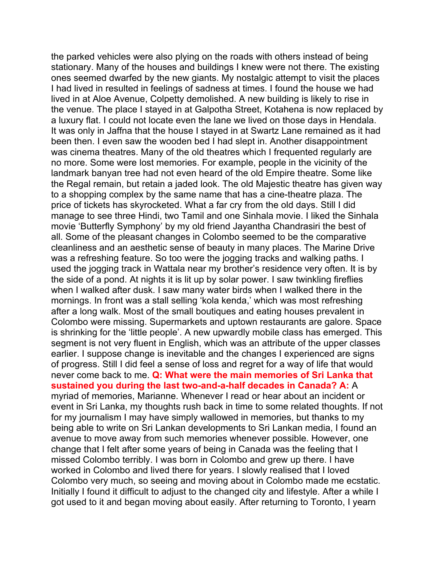the parked vehicles were also plying on the roads with others instead of being stationary. Many of the houses and buildings I knew were not there. The existing ones seemed dwarfed by the new giants. My nostalgic attempt to visit the places I had lived in resulted in feelings of sadness at times. I found the house we had lived in at Aloe Avenue, Colpetty demolished. A new building is likely to rise in the venue. The place I stayed in at Galpotha Street, Kotahena is now replaced by a luxury flat. I could not locate even the lane we lived on those days in Hendala. It was only in Jaffna that the house I stayed in at Swartz Lane remained as it had been then. I even saw the wooden bed I had slept in. Another disappointment was cinema theatres. Many of the old theatres which I frequented regularly are no more. Some were lost memories. For example, people in the vicinity of the landmark banyan tree had not even heard of the old Empire theatre. Some like the Regal remain, but retain a jaded look. The old Majestic theatre has given way to a shopping complex by the same name that has a cine-theatre plaza. The price of tickets has skyrocketed. What a far cry from the old days. Still I did manage to see three Hindi, two Tamil and one Sinhala movie. I liked the Sinhala movie 'Butterfly Symphony' by my old friend Jayantha Chandrasiri the best of all. Some of the pleasant changes in Colombo seemed to be the comparative cleanliness and an aesthetic sense of beauty in many places. The Marine Drive was a refreshing feature. So too were the jogging tracks and walking paths. I used the jogging track in Wattala near my brother's residence very often. It is by the side of a pond. At nights it is lit up by solar power. I saw twinkling fireflies when I walked after dusk. I saw many water birds when I walked there in the mornings. In front was a stall selling 'kola kenda,' which was most refreshing after a long walk. Most of the small boutiques and eating houses prevalent in Colombo were missing. Supermarkets and uptown restaurants are galore. Space is shrinking for the 'little people'. A new upwardly mobile class has emerged. This segment is not very fluent in English, which was an attribute of the upper classes earlier. I suppose change is inevitable and the changes I experienced are signs of progress. Still I did feel a sense of loss and regret for a way of life that would never come back to me. **Q: What were the main memories of Sri Lanka that sustained you during the last two-and-a-half decades in Canada? A:** A myriad of memories, Marianne. Whenever I read or hear about an incident or event in Sri Lanka, my thoughts rush back in time to some related thoughts. If not for my journalism I may have simply wallowed in memories, but thanks to my being able to write on Sri Lankan developments to Sri Lankan media, I found an avenue to move away from such memories whenever possible. However, one change that I felt after some years of being in Canada was the feeling that I missed Colombo terribly. I was born in Colombo and grew up there. I have worked in Colombo and lived there for years. I slowly realised that I loved Colombo very much, so seeing and moving about in Colombo made me ecstatic. Initially I found it difficult to adjust to the changed city and lifestyle. After a while I got used to it and began moving about easily. After returning to Toronto, I yearn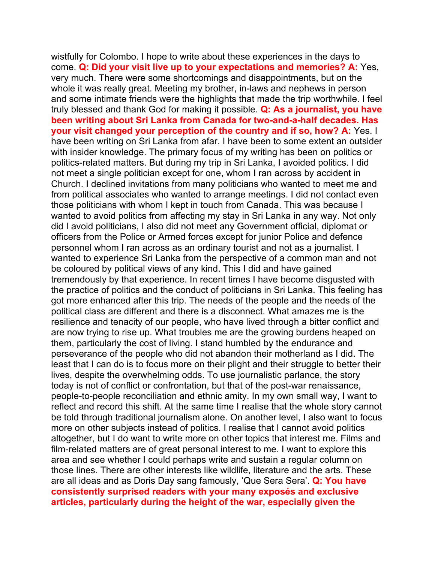wistfully for Colombo. I hope to write about these experiences in the days to come. **Q: Did your visit live up to your expectations and memories? A:** Yes, very much. There were some shortcomings and disappointments, but on the whole it was really great. Meeting my brother, in-laws and nephews in person and some intimate friends were the highlights that made the trip worthwhile. I feel truly blessed and thank God for making it possible. **Q: As a journalist, you have been writing about Sri Lanka from Canada for two-and-a-half decades. Has your visit changed your perception of the country and if so, how? A:** Yes. I have been writing on Sri Lanka from afar. I have been to some extent an outsider with insider knowledge. The primary focus of my writing has been on politics or politics-related matters. But during my trip in Sri Lanka, I avoided politics. I did not meet a single politician except for one, whom I ran across by accident in Church. I declined invitations from many politicians who wanted to meet me and from political associates who wanted to arrange meetings. I did not contact even those politicians with whom I kept in touch from Canada. This was because I wanted to avoid politics from affecting my stay in Sri Lanka in any way. Not only did I avoid politicians, I also did not meet any Government official, diplomat or officers from the Police or Armed forces except for junior Police and defence personnel whom I ran across as an ordinary tourist and not as a journalist. I wanted to experience Sri Lanka from the perspective of a common man and not be coloured by political views of any kind. This I did and have gained tremendously by that experience. In recent times I have become disgusted with the practice of politics and the conduct of politicians in Sri Lanka. This feeling has got more enhanced after this trip. The needs of the people and the needs of the political class are different and there is a disconnect. What amazes me is the resilience and tenacity of our people, who have lived through a bitter conflict and are now trying to rise up. What troubles me are the growing burdens heaped on them, particularly the cost of living. I stand humbled by the endurance and perseverance of the people who did not abandon their motherland as I did. The least that I can do is to focus more on their plight and their struggle to better their lives, despite the overwhelming odds. To use journalistic parlance, the story today is not of conflict or confrontation, but that of the post-war renaissance, people-to-people reconciliation and ethnic amity. In my own small way, I want to reflect and record this shift. At the same time I realise that the whole story cannot be told through traditional journalism alone. On another level, I also want to focus more on other subjects instead of politics. I realise that I cannot avoid politics altogether, but I do want to write more on other topics that interest me. Films and film-related matters are of great personal interest to me. I want to explore this area and see whether I could perhaps write and sustain a regular column on those lines. There are other interests like wildlife, literature and the arts. These are all ideas and as Doris Day sang famously, 'Que Sera Sera'. **Q: You have consistently surprised readers with your many exposés and exclusive articles, particularly during the height of the war, especially given the**